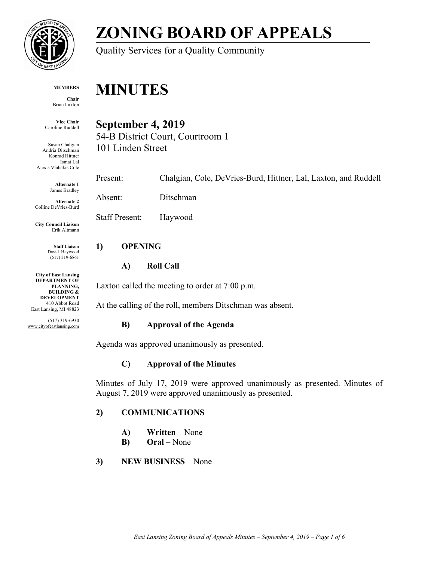

# **ZONING BOARD OF APPEALS**

Quality Services for a Quality Community

#### **MEMBERS**

**Chair** Brian Laxton

**Vice Chair** Caroline Ruddell

Susan Chalgian Andria Ditschman Konrad Hittner Ismat Lal Alexis Vlahakis Cole

> **Alternate 1** James Bradley

**Alternate 2** Colline DeVries-Burd

**City Council Liaison** Erik Altmann

> **Staff Liaison** David Haywood (517) 319-6861

**City of East Lansing DEPARTMENT OF PLANNING, BUILDING & DEVELOPMENT** 410 Abbot Road East Lansing, MI 48823

(517) 319-6930 www.cityofeastlansing.com

# **MINUTES**

# **September 4, 2019**

54-B District Court, Courtroom 1 101 Linden Street

Present: Chalgian, Cole, DeVries-Burd, Hittner, Lal, Laxton, and Ruddell

Absent: Ditschman

Staff Present: Haywood

# **1) OPENING**

### **A) Roll Call**

Laxton called the meeting to order at 7:00 p.m.

At the calling of the roll, members Ditschman was absent.

# **B) Approval of the Agenda**

Agenda was approved unanimously as presented.

# **C) Approval of the Minutes**

Minutes of July 17, 2019 were approved unanimously as presented. Minutes of August 7, 2019 were approved unanimously as presented.

# **2) COMMUNICATIONS**

- **A) Written** None
- **B) Oral**  None

# **3) NEW BUSINESS** – None

*East Lansing Zoning Board of Appeals Minutes – September 4, 2019 – Page 1 of 6*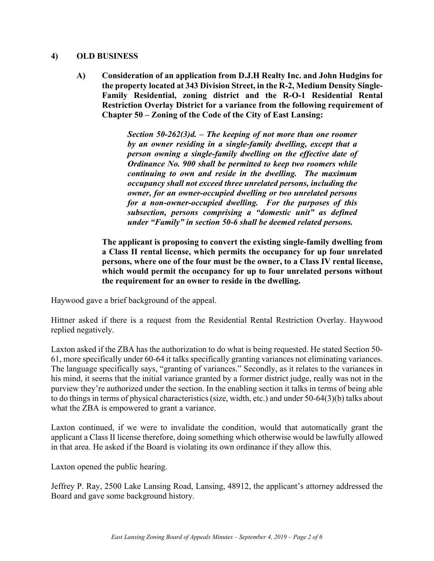#### **4) OLD BUSINESS**

**A) Consideration of an application from D.J.H Realty Inc. and John Hudgins for the property located at 343 Division Street, in the R-2, Medium Density Single-Family Residential, zoning district and the R-O-1 Residential Rental Restriction Overlay District for a variance from the following requirement of Chapter 50 – Zoning of the Code of the City of East Lansing:** 

> *Section 50-262(3)d. – The keeping of not more than one roomer by an owner residing in a single-family dwelling, except that a person owning a single-family dwelling on the effective date of Ordinance No. 900 shall be permitted to keep two roomers while continuing to own and reside in the dwelling. The maximum occupancy shall not exceed three unrelated persons, including the owner, for an owner-occupied dwelling or two unrelated persons for a non-owner-occupied dwelling. For the purposes of this subsection, persons comprising a "domestic unit" as defined under "Family" in section 50-6 shall be deemed related persons.*

**The applicant is proposing to convert the existing single-family dwelling from a Class II rental license, which permits the occupancy for up four unrelated persons, where one of the four must be the owner, to a Class IV rental license, which would permit the occupancy for up to four unrelated persons without the requirement for an owner to reside in the dwelling.** 

Haywood gave a brief background of the appeal.

Hittner asked if there is a request from the Residential Rental Restriction Overlay. Haywood replied negatively.

Laxton asked if the ZBA has the authorization to do what is being requested. He stated Section 50- 61, more specifically under 60-64 it talks specifically granting variances not eliminating variances. The language specifically says, "granting of variances." Secondly, as it relates to the variances in his mind, it seems that the initial variance granted by a former district judge, really was not in the purview they're authorized under the section. In the enabling section it talks in terms of being able to do things in terms of physical characteristics (size, width, etc.) and under 50-64(3)(b) talks about what the ZBA is empowered to grant a variance.

Laxton continued, if we were to invalidate the condition, would that automatically grant the applicant a Class II license therefore, doing something which otherwise would be lawfully allowed in that area. He asked if the Board is violating its own ordinance if they allow this.

Laxton opened the public hearing.

Jeffrey P. Ray, 2500 Lake Lansing Road, Lansing, 48912, the applicant's attorney addressed the Board and gave some background history.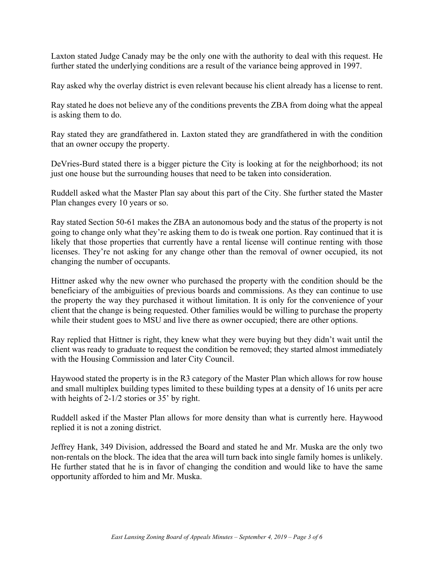Laxton stated Judge Canady may be the only one with the authority to deal with this request. He further stated the underlying conditions are a result of the variance being approved in 1997.

Ray asked why the overlay district is even relevant because his client already has a license to rent.

Ray stated he does not believe any of the conditions prevents the ZBA from doing what the appeal is asking them to do.

Ray stated they are grandfathered in. Laxton stated they are grandfathered in with the condition that an owner occupy the property.

DeVries-Burd stated there is a bigger picture the City is looking at for the neighborhood; its not just one house but the surrounding houses that need to be taken into consideration.

Ruddell asked what the Master Plan say about this part of the City. She further stated the Master Plan changes every 10 years or so.

Ray stated Section 50-61 makes the ZBA an autonomous body and the status of the property is not going to change only what they're asking them to do is tweak one portion. Ray continued that it is likely that those properties that currently have a rental license will continue renting with those licenses. They're not asking for any change other than the removal of owner occupied, its not changing the number of occupants.

Hittner asked why the new owner who purchased the property with the condition should be the beneficiary of the ambiguities of previous boards and commissions. As they can continue to use the property the way they purchased it without limitation. It is only for the convenience of your client that the change is being requested. Other families would be willing to purchase the property while their student goes to MSU and live there as owner occupied; there are other options.

Ray replied that Hittner is right, they knew what they were buying but they didn't wait until the client was ready to graduate to request the condition be removed; they started almost immediately with the Housing Commission and later City Council.

Haywood stated the property is in the R3 category of the Master Plan which allows for row house and small multiplex building types limited to these building types at a density of 16 units per acre with heights of 2-1/2 stories or 35' by right.

Ruddell asked if the Master Plan allows for more density than what is currently here. Haywood replied it is not a zoning district.

Jeffrey Hank, 349 Division, addressed the Board and stated he and Mr. Muska are the only two non-rentals on the block. The idea that the area will turn back into single family homes is unlikely. He further stated that he is in favor of changing the condition and would like to have the same opportunity afforded to him and Mr. Muska.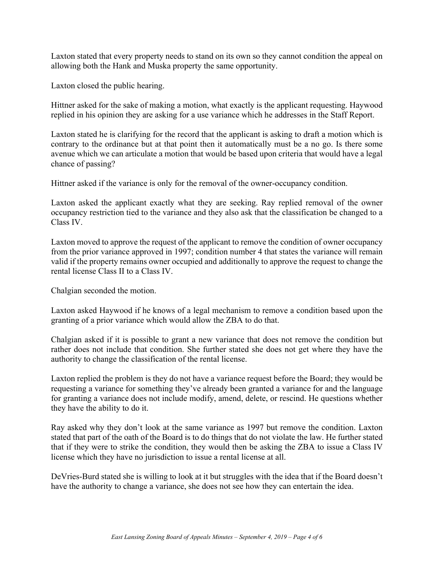Laxton stated that every property needs to stand on its own so they cannot condition the appeal on allowing both the Hank and Muska property the same opportunity.

Laxton closed the public hearing.

Hittner asked for the sake of making a motion, what exactly is the applicant requesting. Haywood replied in his opinion they are asking for a use variance which he addresses in the Staff Report.

Laxton stated he is clarifying for the record that the applicant is asking to draft a motion which is contrary to the ordinance but at that point then it automatically must be a no go. Is there some avenue which we can articulate a motion that would be based upon criteria that would have a legal chance of passing?

Hittner asked if the variance is only for the removal of the owner-occupancy condition.

Laxton asked the applicant exactly what they are seeking. Ray replied removal of the owner occupancy restriction tied to the variance and they also ask that the classification be changed to a Class IV.

Laxton moved to approve the request of the applicant to remove the condition of owner occupancy from the prior variance approved in 1997; condition number 4 that states the variance will remain valid if the property remains owner occupied and additionally to approve the request to change the rental license Class II to a Class IV.

Chalgian seconded the motion.

Laxton asked Haywood if he knows of a legal mechanism to remove a condition based upon the granting of a prior variance which would allow the ZBA to do that.

Chalgian asked if it is possible to grant a new variance that does not remove the condition but rather does not include that condition. She further stated she does not get where they have the authority to change the classification of the rental license.

Laxton replied the problem is they do not have a variance request before the Board; they would be requesting a variance for something they've already been granted a variance for and the language for granting a variance does not include modify, amend, delete, or rescind. He questions whether they have the ability to do it.

Ray asked why they don't look at the same variance as 1997 but remove the condition. Laxton stated that part of the oath of the Board is to do things that do not violate the law. He further stated that if they were to strike the condition, they would then be asking the ZBA to issue a Class IV license which they have no jurisdiction to issue a rental license at all.

DeVries-Burd stated she is willing to look at it but struggles with the idea that if the Board doesn't have the authority to change a variance, she does not see how they can entertain the idea.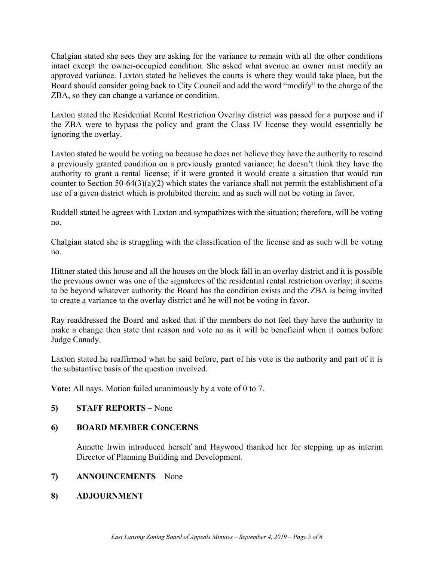Chalgian stated she sees they are asking for the variance to remain with all the other conditions intact except the owner-occupied condition. She asked what avenue an owner must modify an approved variance. Laxton stated he believes the courts is where they would take place, but the Board should consider going back to City Council and add the word "modify" to the charge of the ZBA, so they can change a variance or condition.

Laxton stated the Residential Rental Restriction Overlay district was passed for a purpose and if the ZBA were to bypass the policy and grant the Class IV license they would essentially be ignoring the overlay.

Laxton stated he would be voting no because he does not believe they have the authority to rescind a previously granted condition on a previously granted variance; he doesn't think they have the authority to grant a rental license; if it were granted it would create a situation that would run counter to Section 50-64(3)(a)(2) which states the variance shall not permit the establishment of a use of a given district which is prohibited therein; and as such will not be voting in favor.

Ruddell stated he agrees with Laxton and sympathizes with the situation; therefore, will be voting no.

Chalgian stated she is struggling with the classification of the license and as such will be voting no.

Hittner stated this house and all the houses on the block fall in an overlay district and it is possible the previous owner was one of the signatures of the residential rental restriction overlay; it seems to be beyond whatever authority the Board has the condition exists and the ZBA is being invited to create a variance to the overlay district and he will not be voting in favor.

Ray readdressed the Board and asked that if the members do not feel they have the authority to make a change then state that reason and vote no as it will be beneficial when it comes before Judge Canady.

Laxton stated he reaffirmed what he said before, part of his vote is the authority and part of it is the substantive basis of the question involved.

**Vote:** All nays. Motion failed unanimously by a vote of 0 to 7.

#### **5) STAFF REPORTS** – None

#### **6) BOARD MEMBER CONCERNS**

Annette Irwin introduced herself and Haywood thanked her for stepping up as interim Director of Planning Building and Development.

#### **7) ANNOUNCEMENTS** – None

#### **8) ADJOURNMENT**